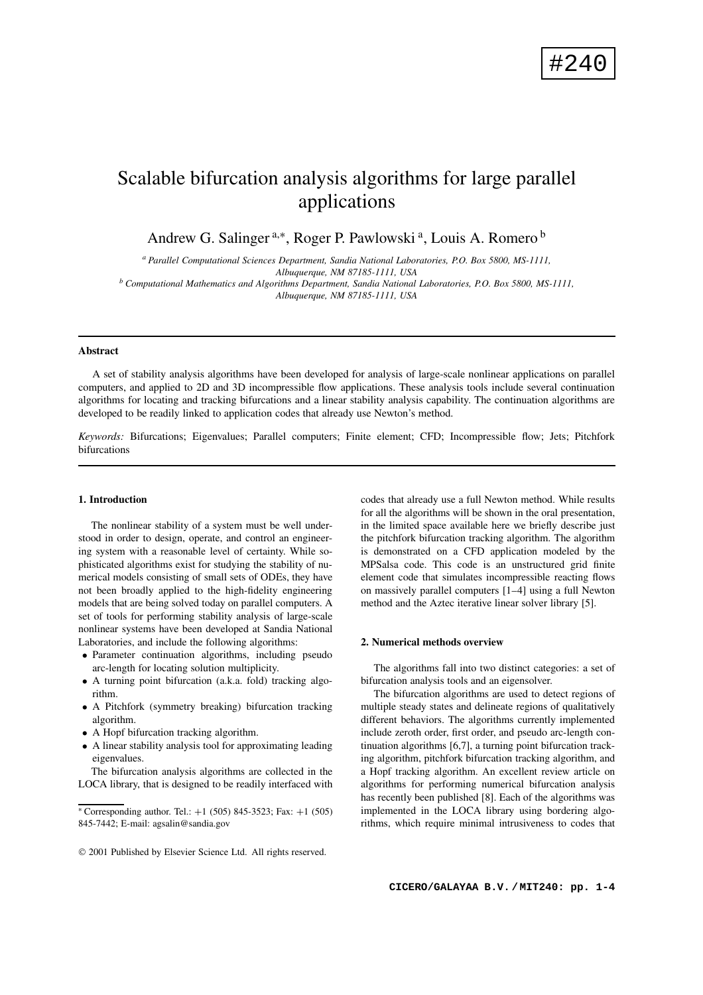# Scalable bifurcation analysis algorithms for large parallel applications

Andrew G. Salinger<sup>a,\*</sup>, Roger P. Pawlowski<sup>a</sup>, Louis A. Romero<sup>b</sup>

*<sup>a</sup> Parallel Computational Sciences Department, Sandia National Laboratories, P.O. Box 5800, MS-1111, Albuquerque, NM 87185-1111, USA*

*<sup>b</sup> Computational Mathematics and Algorithms Department, Sandia National Laboratories, P.O. Box 5800, MS-1111, Albuquerque, NM 87185-1111, USA*

## **Abstract**

A set of stability analysis algorithms have been developed for analysis of large-scale nonlinear applications on parallel computers, and applied to 2D and 3D incompressible flow applications. These analysis tools include several continuation algorithms for locating and tracking bifurcations and a linear stability analysis capability. The continuation algorithms are developed to be readily linked to application codes that already use Newton's method.

*Keywords:* Bifurcations; Eigenvalues; Parallel computers; Finite element; CFD; Incompressible flow; Jets; Pitchfork bifurcations

# **1. Introduction**

The nonlinear stability of a system must be well understood in order to design, operate, and control an engineering system with a reasonable level of certainty. While sophisticated algorithms exist for studying the stability of numerical models consisting of small sets of ODEs, they have not been broadly applied to the high-fidelity engineering models that are being solved today on parallel computers. A set of tools for performing stability analysis of large-scale nonlinear systems have been developed at Sandia National Laboratories, and include the following algorithms:

- Parameter continuation algorithms, including pseudo arc-length for locating solution multiplicity.
- A turning point bifurcation (a.k.a. fold) tracking algorithm.
- A Pitchfork (symmetry breaking) bifurcation tracking algorithm.
- A Hopf bifurcation tracking algorithm.
- A linear stability analysis tool for approximating leading eigenvalues.

The bifurcation analysis algorithms are collected in the LOCA library, that is designed to be readily interfaced with codes that already use a full Newton method. While results for all the algorithms will be shown in the oral presentation, in the limited space available here we briefly describe just the pitchfork bifurcation tracking algorithm. The algorithm is demonstrated on a CFD application modeled by the MPSalsa code. This code is an unstructured grid finite element code that simulates incompressible reacting flows on massively parallel computers [1–4] using a full Newton method and the Aztec iterative linear solver library [5].

#### **2. Numerical methods overview**

The algorithms fall into two distinct categories: a set of bifurcation analysis tools and an eigensolver.

The bifurcation algorithms are used to detect regions of multiple steady states and delineate regions of qualitatively different behaviors. The algorithms currently implemented include zeroth order, first order, and pseudo arc-length continuation algorithms [6,7], a turning point bifurcation tracking algorithm, pitchfork bifurcation tracking algorithm, and a Hopf tracking algorithm. An excellent review article on algorithms for performing numerical bifurcation analysis has recently been published [8]. Each of the algorithms was implemented in the LOCA library using bordering algorithms, which require minimal intrusiveness to codes that

<sup>\*</sup> Corresponding author. Tel.:  $+1$  (505) 845-3523; Fax:  $+1$  (505) 845-7442; E-mail: agsalin@sandia.gov

2001 Published by Elsevier Science Ltd. All rights reserved.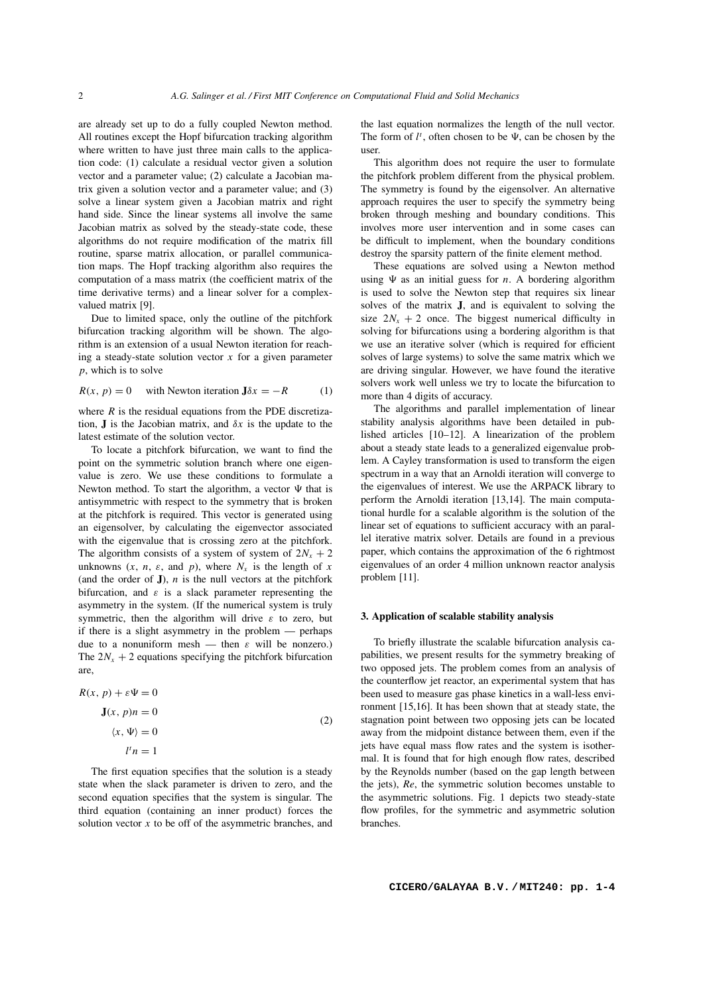are already set up to do a fully coupled Newton method. All routines except the Hopf bifurcation tracking algorithm where written to have just three main calls to the application code: (1) calculate a residual vector given a solution vector and a parameter value; (2) calculate a Jacobian matrix given a solution vector and a parameter value; and (3) solve a linear system given a Jacobian matrix and right hand side. Since the linear systems all involve the same Jacobian matrix as solved by the steady-state code, these algorithms do not require modification of the matrix fill routine, sparse matrix allocation, or parallel communication maps. The Hopf tracking algorithm also requires the computation of a mass matrix (the coefficient matrix of the time derivative terms) and a linear solver for a complexvalued matrix [9].

Due to limited space, only the outline of the pitchfork bifurcation tracking algorithm will be shown. The algorithm is an extension of a usual Newton iteration for reaching a steady-state solution vector  $x$  for a given parameter *p*, which is to solve

$$
R(x, p) = 0 \quad \text{with Newton iteration } J\delta x = -R \tag{1}
$$

where  $R$  is the residual equations from the PDE discretization, **J** is the Jacobian matrix, and  $\delta x$  is the update to the latest estimate of the solution vector.

To locate a pitchfork bifurcation, we want to find the point on the symmetric solution branch where one eigenvalue is zero. We use these conditions to formulate a Newton method. To start the algorithm, a vector  $\Psi$  that is antisymmetric with respect to the symmetry that is broken at the pitchfork is required. This vector is generated using an eigensolver, by calculating the eigenvector associated with the eigenvalue that is crossing zero at the pitchfork. The algorithm consists of a system of system of  $2N_x + 2$ unknowns  $(x, n, \varepsilon, \text{ and } p)$ , where  $N_x$  is the length of x (and the order of  $J$ ),  $n$  is the null vectors at the pitchfork bifurcation, and  $\varepsilon$  is a slack parameter representing the asymmetry in the system. (If the numerical system is truly symmetric, then the algorithm will drive  $\varepsilon$  to zero, but if there is a slight asymmetry in the problem — perhaps due to a nonuniform mesh — then  $\varepsilon$  will be nonzero.) The  $2N_x + 2$  equations specifying the pitchfork bifurcation are,

$$
R(x, p) + \varepsilon \Psi = 0
$$
  

$$
\mathbf{J}(x, p)n = 0
$$
  

$$
\langle x, \Psi \rangle = 0
$$
  

$$
l'n = 1
$$
 (2)

The first equation specifies that the solution is a steady state when the slack parameter is driven to zero, and the second equation specifies that the system is singular. The third equation (containing an inner product) forces the solution vector  $x$  to be off of the asymmetric branches, and the last equation normalizes the length of the null vector. The form of  $l^t$ , often chosen to be  $\Psi$ , can be chosen by the user.

This algorithm does not require the user to formulate the pitchfork problem different from the physical problem. The symmetry is found by the eigensolver. An alternative approach requires the user to specify the symmetry being broken through meshing and boundary conditions. This involves more user intervention and in some cases can be difficult to implement, when the boundary conditions destroy the sparsity pattern of the finite element method.

These equations are solved using a Newton method using Ψ as an initial guess for *n*. A bordering algorithm is used to solve the Newton step that requires six linear solves of the matrix **J**, and is equivalent to solving the size  $2N_x + 2$  once. The biggest numerical difficulty in solving for bifurcations using a bordering algorithm is that we use an iterative solver (which is required for efficient solves of large systems) to solve the same matrix which we are driving singular. However, we have found the iterative solvers work well unless we try to locate the bifurcation to more than 4 digits of accuracy.

The algorithms and parallel implementation of linear stability analysis algorithms have been detailed in published articles [10–12]. A linearization of the problem about a steady state leads to a generalized eigenvalue problem. A Cayley transformation is used to transform the eigen spectrum in a way that an Arnoldi iteration will converge to the eigenvalues of interest. We use the ARPACK library to perform the Arnoldi iteration [13,14]. The main computational hurdle for a scalable algorithm is the solution of the linear set of equations to sufficient accuracy with an parallel iterative matrix solver. Details are found in a previous paper, which contains the approximation of the 6 rightmost eigenvalues of an order 4 million unknown reactor analysis problem [11].

## **3. Application of scalable stability analysis**

To briefly illustrate the scalable bifurcation analysis capabilities, we present results for the symmetry breaking of two opposed jets. The problem comes from an analysis of the counterflow jet reactor, an experimental system that has been used to measure gas phase kinetics in a wall-less environment [15,16]. It has been shown that at steady state, the stagnation point between two opposing jets can be located away from the midpoint distance between them, even if the jets have equal mass flow rates and the system is isothermal. It is found that for high enough flow rates, described by the Reynolds number (based on the gap length between the jets), *Re*, the symmetric solution becomes unstable to the asymmetric solutions. Fig. 1 depicts two steady-state flow profiles, for the symmetric and asymmetric solution branches.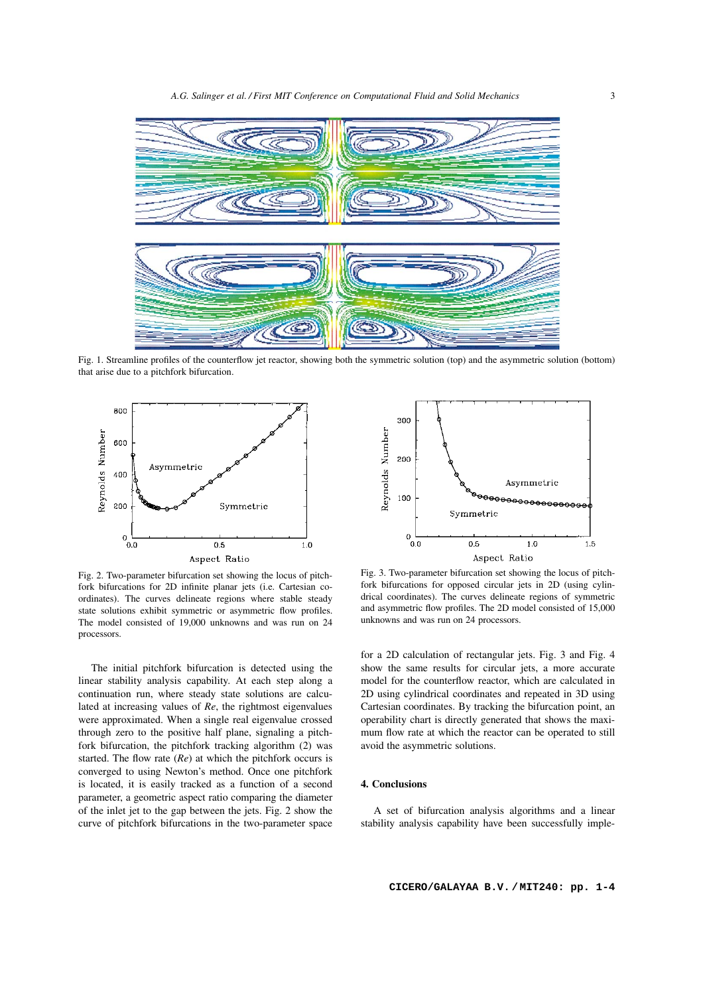

Fig. 1. Streamline profiles of the counterflow jet reactor, showing both the symmetric solution (top) and the asymmetric solution (bottom) that arise due to a pitchfork bifurcation.



Fig. 2. Two-parameter bifurcation set showing the locus of pitchfork bifurcations for 2D infinite planar jets (i.e. Cartesian coordinates). The curves delineate regions where stable steady state solutions exhibit symmetric or asymmetric flow profiles. The model consisted of 19,000 unknowns and was run on 24 processors.

The initial pitchfork bifurcation is detected using the linear stability analysis capability. At each step along a continuation run, where steady state solutions are calculated at increasing values of *Re*, the rightmost eigenvalues were approximated. When a single real eigenvalue crossed through zero to the positive half plane, signaling a pitchfork bifurcation, the pitchfork tracking algorithm (2) was started. The flow rate (*Re*) at which the pitchfork occurs is converged to using Newton's method. Once one pitchfork is located, it is easily tracked as a function of a second parameter, a geometric aspect ratio comparing the diameter of the inlet jet to the gap between the jets. Fig. 2 show the curve of pitchfork bifurcations in the two-parameter space



Fig. 3. Two-parameter bifurcation set showing the locus of pitchfork bifurcations for opposed circular jets in 2D (using cylindrical coordinates). The curves delineate regions of symmetric and asymmetric flow profiles. The 2D model consisted of 15,000 unknowns and was run on 24 processors.

for a 2D calculation of rectangular jets. Fig. 3 and Fig. 4 show the same results for circular jets, a more accurate model for the counterflow reactor, which are calculated in 2D using cylindrical coordinates and repeated in 3D using Cartesian coordinates. By tracking the bifurcation point, an operability chart is directly generated that shows the maximum flow rate at which the reactor can be operated to still avoid the asymmetric solutions.

## **4. Conclusions**

A set of bifurcation analysis algorithms and a linear stability analysis capability have been successfully imple-